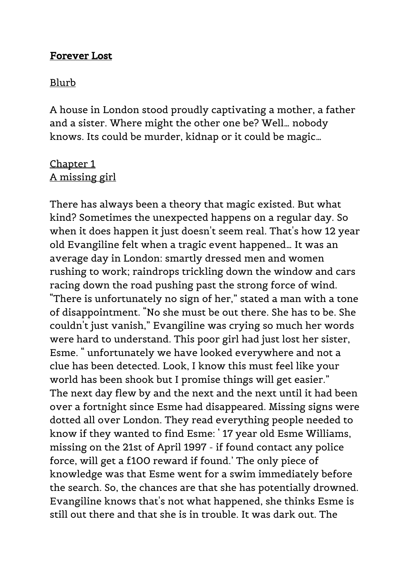## Forever Lost

#### Blurb

A house in London stood proudly captivating a mother, a father and a sister. Where might the other one be? Well… nobody knows. Its could be murder, kidnap or it could be magic…

# Chapter 1 A missing girl

There has always been a theory that magic existed. But what kind? Sometimes the unexpected happens on a regular day. So when it does happen it just doesn't seem real. That's how 12 year old Evangiline felt when a tragic event happened… It was an average day in London: smartly dressed men and women rushing to work; raindrops trickling down the window and cars racing down the road pushing past the strong force of wind. "There is unfortunately no sign of her," stated a man with a tone of disappointment. "No she must be out there. She has to be. She couldn't just vanish," Evangiline was crying so much her words were hard to understand. This poor girl had just lost her sister, Esme. " unfortunately we have looked everywhere and not a clue has been detected. Look, I know this must feel like your world has been shook but I promise things will get easier." The next day flew by and the next and the next until it had been over a fortnight since Esme had disappeared. Missing signs were dotted all over London. They read everything people needed to know if they wanted to find Esme: ' 17 year old Esme Williams, missing on the 21st of April 1997 - if found contact any police force, will get a £100 reward if found.' The only piece of knowledge was that Esme went for a swim immediately before the search. So, the chances are that she has potentially drowned. Evangiline knows that's not what happened, she thinks Esme is still out there and that she is in trouble. It was dark out. The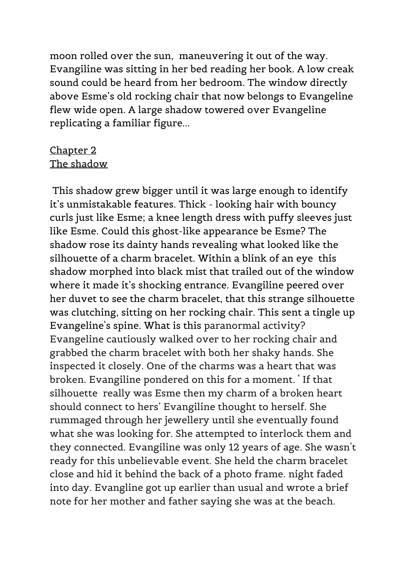moon rolled over the sun, maneuvering it out of the way. Evangiline was sitting in her bed reading her book. A low creak sound could be heard from her bedroom. The window directly above Esme's old rocking chair that now belongs to Evangeline flew wide open. A large shadow towered over Evangeline replicating a familiar figure...

# Chapter 2 The shadow

This shadow grew bigger until it was large enough to identify it's unmistakable features. Thick - looking hair with bouncy curls just like Esme; a knee length dress with puffy sleeves just like Esme. Could this ghost-like appearance be Esme? The shadow rose its dainty hands revealing what looked like the silhouette of a charm bracelet. Within a blink of an eye this shadow morphed into black mist that trailed out of the window where it made it's shocking entrance. Evangiline peered over her duvet to see the charm bracelet, that this strange silhouette was clutching, sitting on her rocking chair. This sent a tingle up Evangeline's spine. What is this paranormal activity? Evangeline cautiously walked over to her rocking chair and grabbed the charm bracelet with both her shaky hands. She inspected it closely. One of the charms was a heart that was broken. Evangiline pondered on this for a moment. ' If that silhouette really was Esme then my charm of a broken heart should connect to hers' Evangiline thought to herself. She rummaged through her jewellery until she eventually found what she was looking for. She attempted to interlock them and they connected. Evangiline was only 12 years of age. She wasn't ready for this unbelievable event. She held the charm bracelet close and hid it behind the back of a photo frame. night faded into day. Evangline got up earlier than usual and wrote a brief note for her mother and father saying she was at the beach.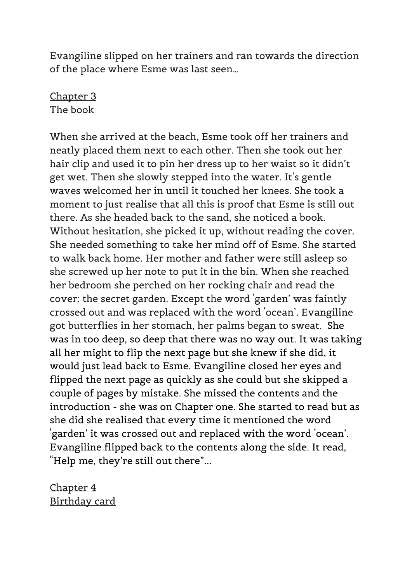Evangiline slipped on her trainers and ran towards the direction of the place where Esme was last seen…

# Chapter 3 The book

When she arrived at the beach, Esme took off her trainers and neatly placed them next to each other. Then she took out her hair clip and used it to pin her dress up to her waist so it didn't get wet. Then she slowly stepped into the water. It's gentle waves welcomed her in until it touched her knees. She took a moment to just realise that all this is proof that Esme is still out there. As she headed back to the sand, she noticed a book. Without hesitation, she picked it up, without reading the cover. She needed something to take her mind off of Esme. She started to walk back home. Her mother and father were still asleep so she screwed up her note to put it in the bin. When she reached her bedroom she perched on her rocking chair and read the cover: the secret garden. Except the word 'garden' was faintly crossed out and was replaced with the word 'ocean'. Evangiline got butterflies in her stomach, her palms began to sweat. She was in too deep, so deep that there was no way out. It was taking all her might to flip the next page but she knew if she did, it would just lead back to Esme. Evangiline closed her eyes and flipped the next page as quickly as she could but she skipped a couple of pages by mistake. She missed the contents and the introduction - she was on Chapter one. She started to read but as she did she realised that every time it mentioned the word 'garden' it was crossed out and replaced with the word 'ocean'. Evangiline flipped back to the contents along the side. It read, "Help me, they're still out there"...

Chapter 4 Birthday card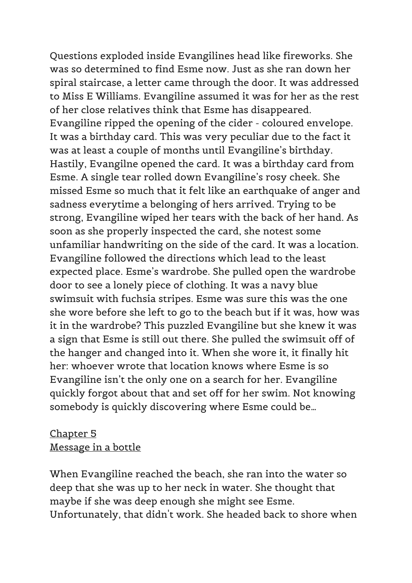Questions exploded inside Evangilines head like fireworks. She was so determined to find Esme now. Just as she ran down her spiral staircase, a letter came through the door. It was addressed to Miss E Williams. Evangiline assumed it was for her as the rest of her close relatives think that Esme has disappeared. Evangiline ripped the opening of the cider - coloured envelope. It was a birthday card. This was very peculiar due to the fact it was at least a couple of months until Evangiline's birthday. Hastily, Evangilne opened the card. It was a birthday card from Esme. A single tear rolled down Evangiline's rosy cheek. She missed Esme so much that it felt like an earthquake of anger and sadness everytime a belonging of hers arrived. Trying to be strong, Evangiline wiped her tears with the back of her hand. As soon as she properly inspected the card, she notest some unfamiliar handwriting on the side of the card. It was a location. Evangiline followed the directions which lead to the least expected place. Esme's wardrobe. She pulled open the wardrobe door to see a lonely piece of clothing. It was a navy blue swimsuit with fuchsia stripes. Esme was sure this was the one she wore before she left to go to the beach but if it was, how was it in the wardrobe? This puzzled Evangiline but she knew it was a sign that Esme is still out there. She pulled the swimsuit off of the hanger and changed into it. When she wore it, it finally hit her: whoever wrote that location knows where Esme is so Evangiline isn't the only one on a search for her. Evangiline quickly forgot about that and set off for her swim. Not knowing somebody is quickly discovering where Esme could be…

## Chapter 5 Message in a bottle

When Evangiline reached the beach, she ran into the water so deep that she was up to her neck in water. She thought that maybe if she was deep enough she might see Esme. Unfortunately, that didn't work. She headed back to shore when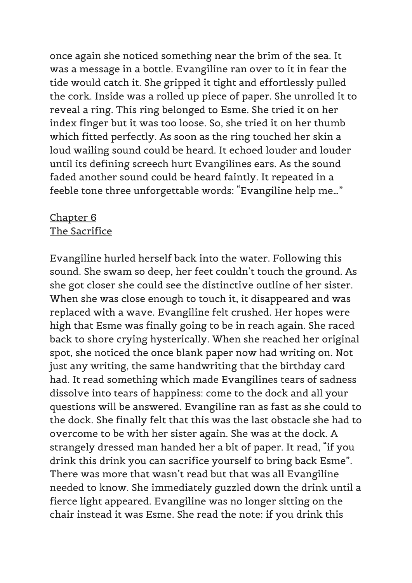once again she noticed something near the brim of the sea. It was a message in a bottle. Evangiline ran over to it in fear the tide would catch it. She gripped it tight and effortlessly pulled the cork. Inside was a rolled up piece of paper. She unrolled it to reveal a ring. This ring belonged to Esme. She tried it on her index finger but it was too loose. So, she tried it on her thumb which fitted perfectly. As soon as the ring touched her skin a loud wailing sound could be heard. It echoed louder and louder until its defining screech hurt Evangilines ears. As the sound faded another sound could be heard faintly. It repeated in a feeble tone three unforgettable words: "Evangiline help me…"

### Chapter 6 The Sacrifice

Evangiline hurled herself back into the water. Following this sound. She swam so deep, her feet couldn't touch the ground. As she got closer she could see the distinctive outline of her sister. When she was close enough to touch it, it disappeared and was replaced with a wave. Evangiline felt crushed. Her hopes were high that Esme was finally going to be in reach again. She raced back to shore crying hysterically. When she reached her original spot, she noticed the once blank paper now had writing on. Not just any writing, the same handwriting that the birthday card had. It read something which made Evangilines tears of sadness dissolve into tears of happiness: come to the dock and all your questions will be answered. Evangiline ran as fast as she could to the dock. She finally felt that this was the last obstacle she had to overcome to be with her sister again. She was at the dock. A strangely dressed man handed her a bit of paper. It read, "if you drink this drink you can sacrifice yourself to bring back Esme". There was more that wasn't read but that was all Evangiline needed to know. She immediately guzzled down the drink until a fierce light appeared. Evangiline was no longer sitting on the chair instead it was Esme. She read the note: if you drink this